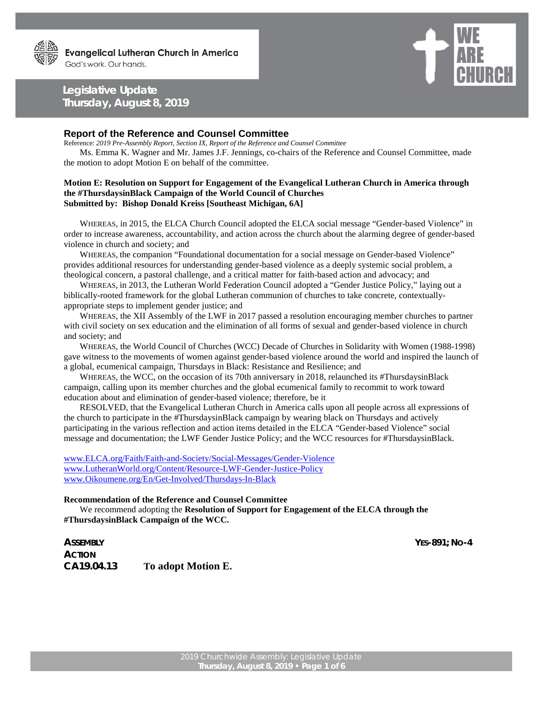## **Legislative Update Thursday, August 8, 2019**



## **Report of the Reference and Counsel Committee**

Reference: *2019 Pre-Assembly Report, Section IX, Report of the Reference and Counsel Committee*

Ms. Emma K. Wagner and Mr. James J.F. Jennings, co-chairs of the Reference and Counsel Committee, made the motion to adopt Motion E on behalf of the committee.

## **Motion E: Resolution on Support for Engagement of the Evangelical Lutheran Church in America through the #ThursdaysinBlack Campaign of the World Council of Churches Submitted by: Bishop Donald Kreiss [Southeast Michigan, 6A]**

WHEREAS, in 2015, the ELCA Church Council adopted the ELCA social message "Gender-based Violence" in order to increase awareness, accountability, and action across the church about the alarming degree of gender-based violence in church and society; and

WHEREAS, the companion "Foundational documentation for a social message on Gender-based Violence" provides additional resources for understanding gender-based violence as a deeply systemic social problem, a theological concern, a pastoral challenge, and a critical matter for faith-based action and advocacy; and

WHEREAS, in 2013, the Lutheran World Federation Council adopted a "Gender Justice Policy," laying out a biblically-rooted framework for the global Lutheran communion of churches to take concrete, contextuallyappropriate steps to implement gender justice; and

WHEREAS, the XII Assembly of the LWF in 2017 passed a resolution encouraging member churches to partner with civil society on sex education and the elimination of all forms of sexual and gender-based violence in church and society; and

WHEREAS, the World Council of Churches (WCC) Decade of Churches in Solidarity with Women (1988-1998) gave witness to the movements of women against gender-based violence around the world and inspired the launch of a global, ecumenical campaign, Thursdays in Black: Resistance and Resilience; and

WHEREAS, the WCC, on the occasion of its 70th anniversary in 2018, relaunched its #ThursdaysinBlack campaign, calling upon its member churches and the global ecumenical family to recommit to work toward education about and elimination of gender-based violence; therefore, be it

RESOLVED, that the Evangelical Lutheran Church in America calls upon all people across all expressions of the church to participate in the #ThursdaysinBlack campaign by wearing black on Thursdays and actively participating in the various reflection and action items detailed in the ELCA "Gender-based Violence" social message and documentation; the LWF Gender Justice Policy; and the WCC resources for #ThursdaysinBlack.

[www.ELCA.org/Faith/Faith-and-Society/Social-Messages/Gender-Violence](http://www.elca.org/Faith/Faith-and-Society/Social-Messages/Gender-Violence) [www.LutheranWorld.org/Content/Resource-LWF-Gender-Justice-Policy](http://www.lutheranworld.org/Content/Resource-LWF-Gender-Justice-Policy) [www.Oikoumene.org/En/Get-Involved/Thursdays-In-Black](http://www.oikoumene.org/En/Get-Involved/Thursdays-In-Black)

## **Recommendation of the Reference and Counsel Committee**

We recommend adopting the **Resolution of Support for Engagement of the ELCA through the #ThursdaysinBlack Campaign of the WCC.**

*ASSEMBLY YES-891; NO-4 ACTION* **CA19.04.13 To adopt Motion E.**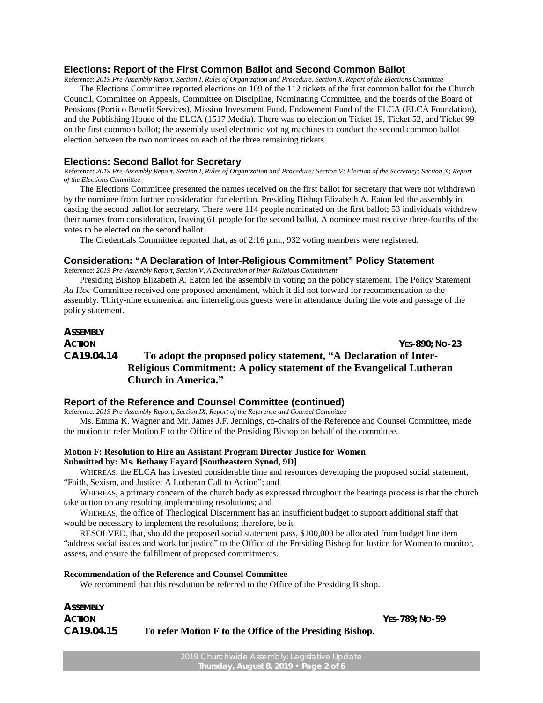## **Elections: Report of the First Common Ballot and Second Common Ballot**

Reference: *2019 Pre-Assembly Report, Section I, Rules of Organization and Procedure, Section X, Report of the Elections Committee*

The Elections Committee reported elections on 109 of the 112 tickets of the first common ballot for the Church Council, Committee on Appeals, Committee on Discipline, Nominating Committee, and the boards of the Board of Pensions (Portico Benefit Services), Mission Investment Fund, Endowment Fund of the ELCA (ELCA Foundation), and the Publishing House of the ELCA (1517 Media). There was no election on Ticket 19, Ticket 52, and Ticket 99 on the first common ballot; the assembly used electronic voting machines to conduct the second common ballot election between the two nominees on each of the three remaining tickets.

#### **Elections: Second Ballot for Secretary**

Reference: *2019 Pre-Assembly Report, Section I, Rules of Organization and Procedure; Section V; Election of the Secretary; Section X; Report of the Elections Committee*

The Elections Committee presented the names received on the first ballot for secretary that were not withdrawn by the nominee from further consideration for election. Presiding Bishop Elizabeth A. Eaton led the assembly in casting the second ballot for secretary. There were 114 people nominated on the first ballot; 53 individuals withdrew their names from consideration, leaving 61 people for the second ballot. A nominee must receive three-fourths of the votes to be elected on the second ballot.

The Credentials Committee reported that, as of 2:16 p.m., 932 voting members were registered.

## **Consideration: "A Declaration of Inter-Religious Commitment" Policy Statement**

Reference: *2019 Pre-Assembly Report, Section V, A Declaration of Inter-Religious Commitment*

Presiding Bishop Elizabeth A. Eaton led the assembly in voting on the policy statement. The Policy Statement *Ad Hoc* Committee received one proposed amendment, which it did not forward for recommendation to the assembly. Thirty-nine ecumenical and interreligious guests were in attendance during the vote and passage of the policy statement.

## *ASSEMBLY ACTION YES-890; NO-23* **CA19.04.14 To adopt the proposed policy statement, "A Declaration of Inter-Religious Commitment: A policy statement of the Evangelical Lutheran Church in America."**

## **Report of the Reference and Counsel Committee (continued)**

Reference: *2019 Pre-Assembly Report, Section IX, Report of the Reference and Counsel Committee*

Ms. Emma K. Wagner and Mr. James J.F. Jennings, co-chairs of the Reference and Counsel Committee, made the motion to refer Motion F to the Office of the Presiding Bishop on behalf of the committee.

## **Motion F: Resolution to Hire an Assistant Program Director Justice for Women Submitted by: Ms. Bethany Fayard [Southeastern Synod, 9D]**

WHEREAS, the ELCA has invested considerable time and resources developing the proposed social statement, "Faith, Sexism, and Justice: A Lutheran Call to Action"; and

WHEREAS, a primary concern of the church body as expressed throughout the hearings process is that the church take action on any resulting implementing resolutions; and

WHEREAS, the office of Theological Discernment has an insufficient budget to support additional staff that would be necessary to implement the resolutions; therefore, be it

RESOLVED, that, should the proposed social statement pass, \$100,000 be allocated from budget line item "address social issues and work for justice" to the Office of the Presiding Bishop for Justice for Women to monitor, assess, and ensure the fulfillment of proposed commitments.

#### **Recommendation of the Reference and Counsel Committee**

We recommend that this resolution be referred to the Office of the Presiding Bishop.

| <b>ASSEMBLY</b> |                                                          |  |
|-----------------|----------------------------------------------------------|--|
| <b>ACTION</b>   |                                                          |  |
| CA19.04.15      | To refer Motion F to the Office of the Presiding Bishop. |  |

*ACTION YES-789; NO-59*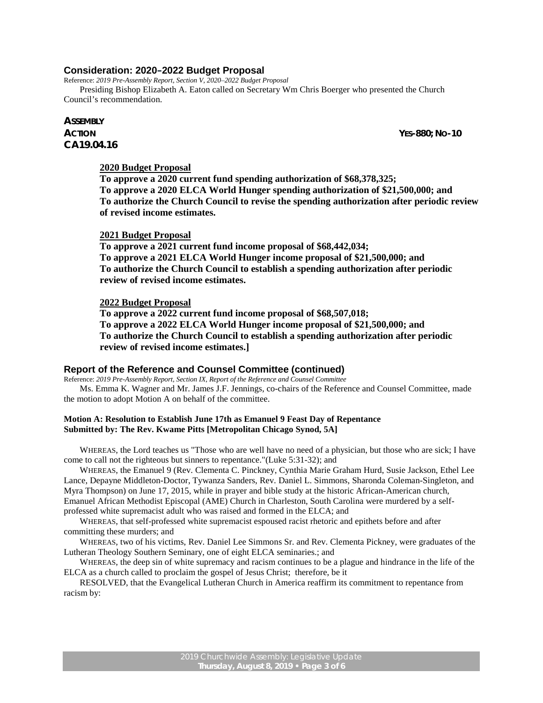## **Consideration: 2020–2022 Budget Proposal**

Reference: *2019 Pre-Assembly Report, Section V, 2020*–*2022 Budget Proposal* Presiding Bishop Elizabeth A. Eaton called on Secretary Wm Chris Boerger who presented the Church Council's recommendation.

# *ASSEMBLY* **CA19.04.16**

*ACTION YES-880; NO-10*

## **2020 Budget Proposal**

**To approve a 2020 current fund spending authorization of \$68,378,325; To approve a 2020 ELCA World Hunger spending authorization of \$21,500,000; and To authorize the Church Council to revise the spending authorization after periodic review of revised income estimates.**

## **2021 Budget Proposal**

**To approve a 2021 current fund income proposal of \$68,442,034; To approve a 2021 ELCA World Hunger income proposal of \$21,500,000; and To authorize the Church Council to establish a spending authorization after periodic review of revised income estimates.**

### **2022 Budget Proposal**

**To approve a 2022 current fund income proposal of \$68,507,018; To approve a 2022 ELCA World Hunger income proposal of \$21,500,000; and To authorize the Church Council to establish a spending authorization after periodic review of revised income estimates.]**

#### **Report of the Reference and Counsel Committee (continued)**

Reference: *2019 Pre-Assembly Report, Section IX, Report of the Reference and Counsel Committee* Ms. Emma K. Wagner and Mr. James J.F. Jennings, co-chairs of the Reference and Counsel Committee, made the motion to adopt Motion A on behalf of the committee.

## **Motion A: Resolution to Establish June 17th as Emanuel 9 Feast Day of Repentance Submitted by: The Rev. Kwame Pitts [Metropolitan Chicago Synod, 5A]**

WHEREAS, the Lord teaches us "Those who are well have no need of a physician, but those who are sick; I have come to call not the righteous but sinners to repentance."(Luke 5:31-32); and

WHEREAS, the Emanuel 9 (Rev. Clementa C. Pinckney, Cynthia Marie Graham Hurd, Susie Jackson, Ethel Lee Lance, Depayne Middleton-Doctor, Tywanza Sanders, Rev. Daniel L. Simmons, Sharonda Coleman-Singleton, and Myra Thompson) on June 17, 2015, while in prayer and bible study at the historic African-American church, Emanuel African Methodist Episcopal (AME) Church in Charleston, South Carolina were murdered by a selfprofessed white supremacist adult who was raised and formed in the ELCA; and

WHEREAS, that self-professed white supremacist espoused racist rhetoric and epithets before and after committing these murders; and

WHEREAS, two of his victims, Rev. Daniel Lee Simmons Sr. and Rev. Clementa Pickney, were graduates of the Lutheran Theology Southern Seminary, one of eight ELCA seminaries.; and

WHEREAS, the deep sin of white supremacy and racism continues to be a plague and hindrance in the life of the ELCA as a church called to proclaim the gospel of Jesus Christ; therefore, be it

RESOLVED, that the Evangelical Lutheran Church in America reaffirm its commitment to repentance from racism by: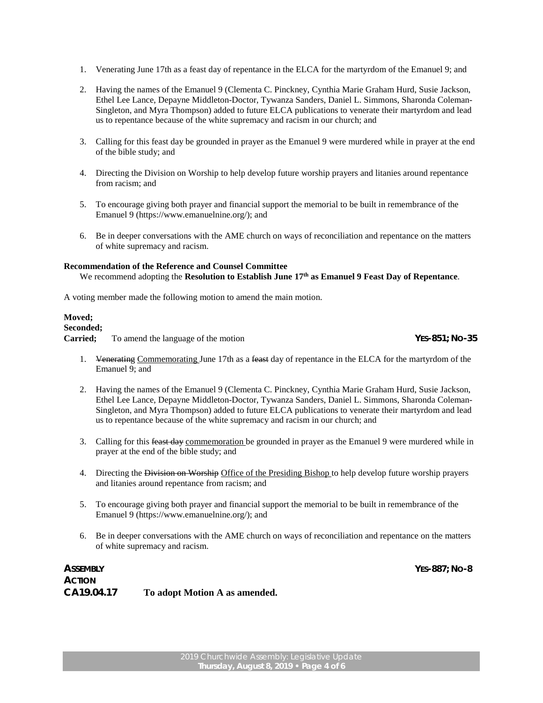- 1. Venerating June 17th as a feast day of repentance in the ELCA for the martyrdom of the Emanuel 9; and
- 2. Having the names of the Emanuel 9 (Clementa C. Pinckney, Cynthia Marie Graham Hurd, Susie Jackson, Ethel Lee Lance, Depayne Middleton-Doctor, Tywanza Sanders, Daniel L. Simmons, Sharonda Coleman-Singleton, and Myra Thompson) added to future ELCA publications to venerate their martyrdom and lead us to repentance because of the white supremacy and racism in our church; and
- 3. Calling for this feast day be grounded in prayer as the Emanuel 9 were murdered while in prayer at the end of the bible study; and
- 4. Directing the Division on Worship to help develop future worship prayers and litanies around repentance from racism; and
- 5. To encourage giving both prayer and financial support the memorial to be built in remembrance of the Emanuel 9 (https://www.emanuelnine.org/); and
- 6. Be in deeper conversations with the AME church on ways of reconciliation and repentance on the matters of white supremacy and racism.

#### **Recommendation of the Reference and Counsel Committee**

We recommend adopting the **Resolution to Establish June 17th as Emanuel 9 Feast Day of Repentance**.

A voting member made the following motion to amend the main motion.

#### **Moved;**

## **Seconded;**

**Carried;** To amend the language of the motion *YES-851; NO-35*

*ASSEMBLY YES-887; NO-8*

- 1. Venerating Commemorating June 17th as a feast day of repentance in the ELCA for the martyrdom of the Emanuel 9; and
- 2. Having the names of the Emanuel 9 (Clementa C. Pinckney, Cynthia Marie Graham Hurd, Susie Jackson, Ethel Lee Lance, Depayne Middleton-Doctor, Tywanza Sanders, Daniel L. Simmons, Sharonda Coleman-Singleton, and Myra Thompson) added to future ELCA publications to venerate their martyrdom and lead us to repentance because of the white supremacy and racism in our church; and
- 3. Calling for this feast day commemoration be grounded in prayer as the Emanuel 9 were murdered while in prayer at the end of the bible study; and
- 4. Directing the Division on Worship Office of the Presiding Bishop to help develop future worship prayers and litanies around repentance from racism; and
- 5. To encourage giving both prayer and financial support the memorial to be built in remembrance of the Emanuel 9 (https://www.emanuelnine.org/); and
- 6. Be in deeper conversations with the AME church on ways of reconciliation and repentance on the matters of white supremacy and racism.

| ASSEMBLY      |                               |
|---------------|-------------------------------|
| <b>ACTION</b> |                               |
| CA19.04.17    | To adopt Motion A as amended. |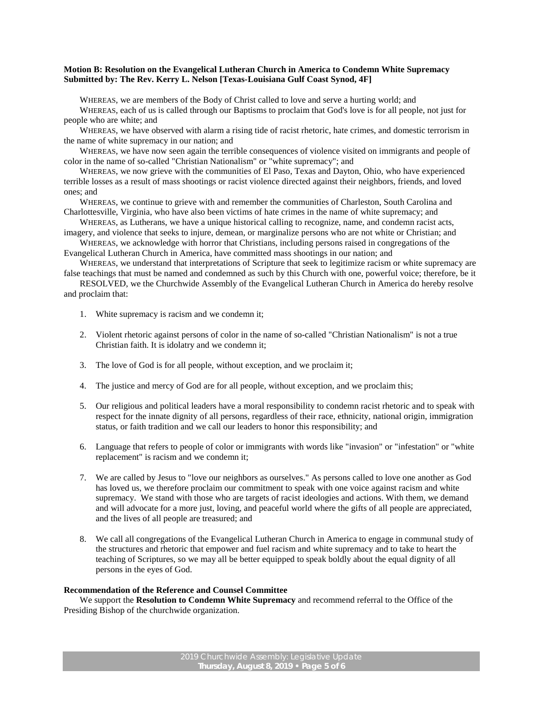## **Motion B: Resolution on the Evangelical Lutheran Church in America to Condemn White Supremacy Submitted by: The Rev. Kerry L. Nelson [Texas-Louisiana Gulf Coast Synod, 4F]**

WHEREAS, we are members of the Body of Christ called to love and serve a hurting world; and

WHEREAS, each of us is called through our Baptisms to proclaim that God's love is for all people, not just for people who are white; and

WHEREAS, we have observed with alarm a rising tide of racist rhetoric, hate crimes, and domestic terrorism in the name of white supremacy in our nation; and

WHEREAS, we have now seen again the terrible consequences of violence visited on immigrants and people of color in the name of so-called "Christian Nationalism" or "white supremacy"; and

WHEREAS, we now grieve with the communities of El Paso, Texas and Dayton, Ohio, who have experienced terrible losses as a result of mass shootings or racist violence directed against their neighbors, friends, and loved ones; and

WHEREAS, we continue to grieve with and remember the communities of Charleston, South Carolina and Charlottesville, Virginia, who have also been victims of hate crimes in the name of white supremacy; and

WHEREAS, as Lutherans, we have a unique historical calling to recognize, name, and condemn racist acts, imagery, and violence that seeks to injure, demean, or marginalize persons who are not white or Christian; and

WHEREAS, we acknowledge with horror that Christians, including persons raised in congregations of the Evangelical Lutheran Church in America, have committed mass shootings in our nation; and

WHEREAS, we understand that interpretations of Scripture that seek to legitimize racism or white supremacy are false teachings that must be named and condemned as such by this Church with one, powerful voice; therefore, be it

RESOLVED, we the Churchwide Assembly of the Evangelical Lutheran Church in America do hereby resolve and proclaim that:

- 1. White supremacy is racism and we condemn it;
- 2. Violent rhetoric against persons of color in the name of so-called "Christian Nationalism" is not a true Christian faith. It is idolatry and we condemn it;
- 3. The love of God is for all people, without exception, and we proclaim it;
- 4. The justice and mercy of God are for all people, without exception, and we proclaim this;
- 5. Our religious and political leaders have a moral responsibility to condemn racist rhetoric and to speak with respect for the innate dignity of all persons, regardless of their race, ethnicity, national origin, immigration status, or faith tradition and we call our leaders to honor this responsibility; and
- 6. Language that refers to people of color or immigrants with words like "invasion" or "infestation" or "white replacement" is racism and we condemn it;
- 7. We are called by Jesus to "love our neighbors as ourselves." As persons called to love one another as God has loved us, we therefore proclaim our commitment to speak with one voice against racism and white supremacy. We stand with those who are targets of racist ideologies and actions. With them, we demand and will advocate for a more just, loving, and peaceful world where the gifts of all people are appreciated, and the lives of all people are treasured; and
- 8. We call all congregations of the Evangelical Lutheran Church in America to engage in communal study of the structures and rhetoric that empower and fuel racism and white supremacy and to take to heart the teaching of Scriptures, so we may all be better equipped to speak boldly about the equal dignity of all persons in the eyes of God.

#### **Recommendation of the Reference and Counsel Committee**

We support the **Resolution to Condemn White Supremacy** and recommend referral to the Office of the Presiding Bishop of the churchwide organization.